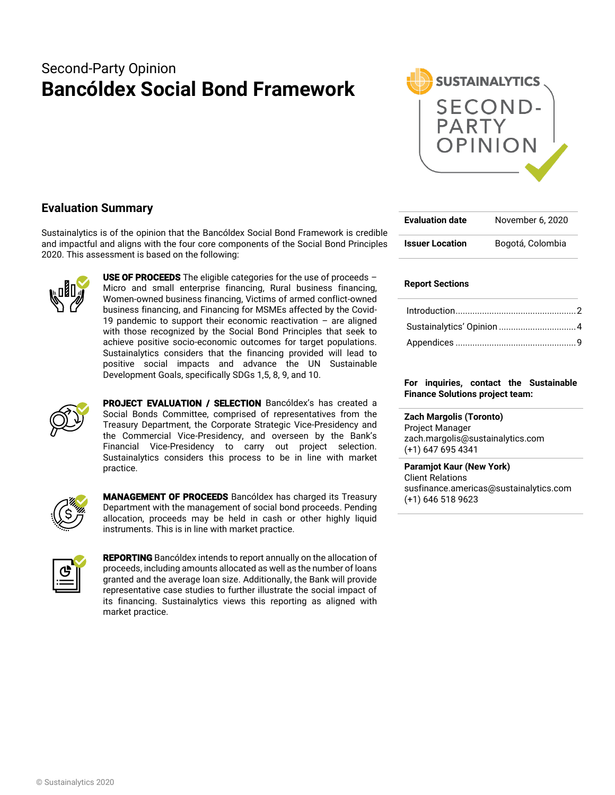# Second-Party Opinion **Bancóldex Social Bond Framework**



## **Evaluation Summary**

Sustainalytics is of the opinion that the Bancóldex Social Bond Framework is credible and impactful and aligns with the four core components of the Social Bond Principles 2020. This assessment is based on the following:



**USE OF PROCEEDS** The eligible categories for the use of proceeds  $-$ Micro and small enterprise financing, Rural business financing, Women-owned business financing, Victims of armed conflict-owned business financing, and Financing for MSMEs affected by the Covid-19 pandemic to support their economic reactivation  $-$  are aligned with those recognized by the Social Bond Principles that seek to achieve positive socio-economic outcomes for target populations. Sustainalytics considers that the financing provided will lead to positive social impacts and advance the UN Sustainable Development Goals, specifically SDGs 1,5, 8, 9, and 10.



**PROJECT EVALUATION / SELECTION** Bancóldex's has created a Social Bonds Committee, comprised of representatives from the Treasury Department, the Corporate Strategic Vice-Presidency and the Commercial Vice-Presidency, and overseen by the Bank's Financial Vice-Presidency to carry out project selection. Sustainalytics considers this process to be in line with market practice.



MANAGEMENT OF PROCEEDS Bancóldex has charged its Treasury Department with the management of social bond proceeds. Pending allocation, proceeds may be held in cash or other highly liquid instruments. This is in line with market practice.



REPORTING Bancóldex intends to report annually on the allocation of proceeds, including amounts allocated as well as the number of loans granted and the average loan size. Additionally, the Bank will provide representative case studies to further illustrate the social impact of its financing. Sustainalytics views this reporting as aligned with market practice.

| <b>Evaluation date</b> | November 6, 2020 |
|------------------------|------------------|
| <b>Issuer Location</b> | Bogotá, Colombia |

### **Report Sections**

#### **For inquiries, contact the Sustainable Finance Solutions project team:**

**Zach Margolis (Toronto)**  Project Manager zach.margolis@sustainalytics.com (+1) 647 695 4341

**Paramjot Kaur (New York)** Client Relations susfinance.americas@sustainalytics.com (+1) 646 518 9623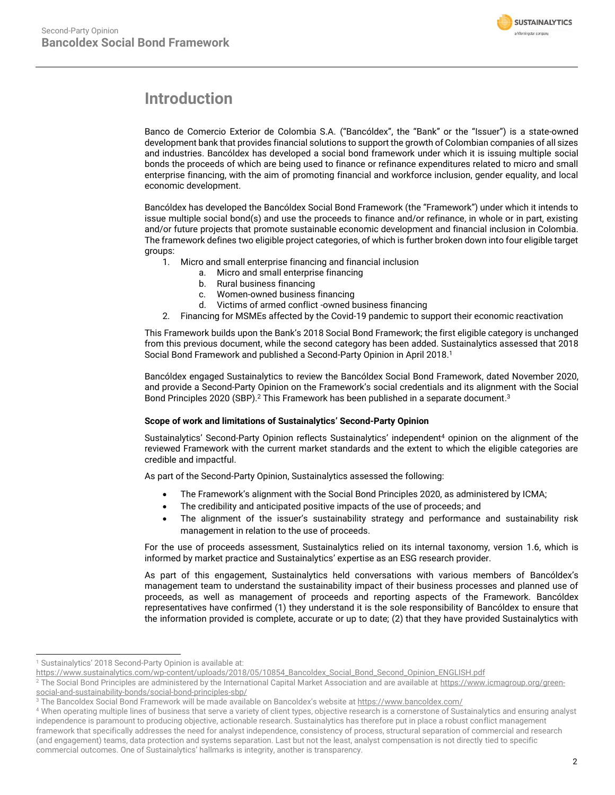

# <span id="page-1-0"></span>**Introduction**

Banco de Comercio Exterior de Colombia S.A. ("Bancóldex", the "Bank" or the "Issuer") is a state-owned development bank that provides financial solutions to support the growth of Colombian companies of all sizes and industries. Bancóldex has developed a social bond framework under which it is issuing multiple social bonds the proceeds of which are being used to finance or refinance expenditures related to micro and small enterprise financing, with the aim of promoting financial and workforce inclusion, gender equality, and local economic development.

Bancóldex has developed the Bancóldex Social Bond Framework (the "Framework") under which it intends to issue multiple social bond(s) and use the proceeds to finance and/or refinance, in whole or in part, existing and/or future projects that promote sustainable economic development and financial inclusion in Colombia. The framework defines two eligible project categories, of which is further broken down into four eligible target groups:

1. Micro and small enterprise financing and financial inclusion

- a. Micro and small enterprise financing
- b. Rural business financing
- c. Women-owned business financing
- d. Victims of armed conflict -owned business financing
- 2. Financing for MSMEs affected by the Covid-19 pandemic to support their economic reactivation

This Framework builds upon the Bank's 2018 Social Bond Framework; the first eligible category is unchanged from this previous document, while the second category has been added. Sustainalytics assessed that 2018 Social Bond Framework and published a Second-Party Opinion in April 2018. 1

Bancóldex engaged Sustainalytics to review the Bancóldex Social Bond Framework, dated November 2020, and provide a Second-Party Opinion on the Framework's social credentials and its alignment with the Social Bond Principles 2020 (SBP).<sup>2</sup> This Framework has been published in a separate document.<sup>3</sup>

### **Scope of work and limitations of Sustainalytics' Second-Party Opinion**

Sustainalytics' Second-Party Opinion reflects Sustainalytics' independent<sup>4</sup> opinion on the alignment of the reviewed Framework with the current market standards and the extent to which the eligible categories are credible and impactful.

As part of the Second-Party Opinion, Sustainalytics assessed the following:

- The Framework's alignment with the Social Bond Principles 2020, as administered by ICMA;
- The credibility and anticipated positive impacts of the use of proceeds; and
- The alignment of the issuer's sustainability strategy and performance and sustainability risk management in relation to the use of proceeds.

For the use of proceeds assessment, Sustainalytics relied on its internal taxonomy, version 1.6, which is informed by market practice and Sustainalytics' expertise as an ESG research provider.

As part of this engagement, Sustainalytics held conversations with various members of Bancóldex's management team to understand the sustainability impact of their business processes and planned use of proceeds, as well as management of proceeds and reporting aspects of the Framework. Bancóldex representatives have confirmed (1) they understand it is the sole responsibility of Bancóldex to ensure that the information provided is complete, accurate or up to date; (2) that they have provided Sustainalytics with

<sup>&</sup>lt;sup>1</sup> Sustainalytics' 2018 Second-Party Opinion is available at:

https://www.sustainalytics.com/wp-content/uploads/2018/05/10854\_Bancoldex\_Social\_Bond\_Second\_Opinion\_ENGLISH.pdf

<sup>&</sup>lt;sup>2</sup> The Social Bond Principles are administered by the International Capital Market Association and are available a[t https://www.icmagroup.org/green](https://www.icmagroup.org/green-social-and-sustainability-bonds/social-bond-principles-sbp/)[social-and-sustainability-bonds/social-bond-principles-sbp/](https://www.icmagroup.org/green-social-and-sustainability-bonds/social-bond-principles-sbp/)

<sup>&</sup>lt;sup>3</sup> The Bancoldex Social Bond Framework will be made available on Bancoldex's website at https://www.bancoldex.com/

<sup>4</sup> When operating multiple lines of business that serve a variety of client types, objective research is a cornerstone of Sustainalytics and ensuring analyst independence is paramount to producing objective, actionable research. Sustainalytics has therefore put in place a robust conflict management framework that specifically addresses the need for analyst independence, consistency of process, structural separation of commercial and research (and engagement) teams, data protection and systems separation. Last but not the least, analyst compensation is not directly tied to specific commercial outcomes. One of Sustainalytics' hallmarks is integrity, another is transparency.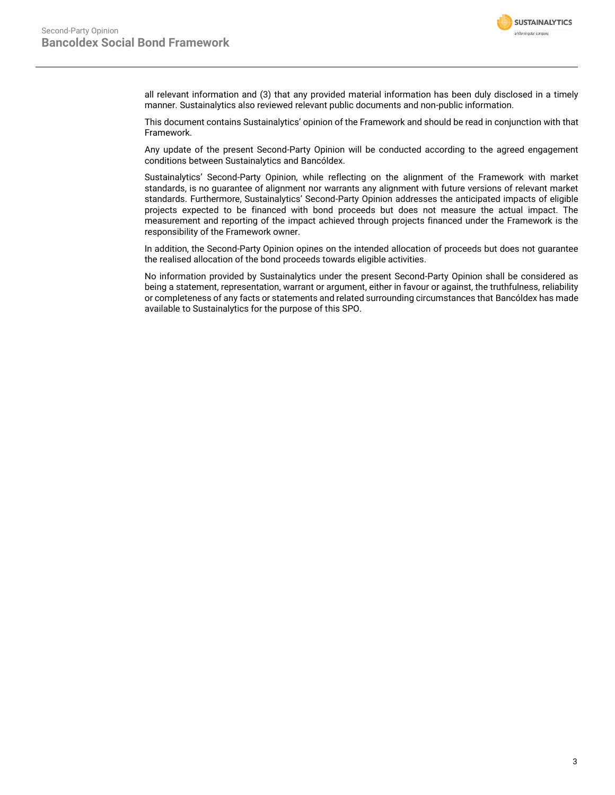

all relevant information and (3) that any provided material information has been duly disclosed in a timely manner. Sustainalytics also reviewed relevant public documents and non-public information.

This document contains Sustainalytics' opinion of the Framework and should be read in conjunction with that Framework.

Any update of the present Second-Party Opinion will be conducted according to the agreed engagement conditions between Sustainalytics and Bancóldex.

Sustainalytics' Second-Party Opinion, while reflecting on the alignment of the Framework with market standards, is no guarantee of alignment nor warrants any alignment with future versions of relevant market standards. Furthermore, Sustainalytics' Second-Party Opinion addresses the anticipated impacts of eligible projects expected to be financed with bond proceeds but does not measure the actual impact. The measurement and reporting of the impact achieved through projects financed under the Framework is the responsibility of the Framework owner.

In addition, the Second-Party Opinion opines on the intended allocation of proceeds but does not guarantee the realised allocation of the bond proceeds towards eligible activities.

<span id="page-2-0"></span>No information provided by Sustainalytics under the present Second-Party Opinion shall be considered as being a statement, representation, warrant or argument, either in favour or against, the truthfulness, reliability or completeness of any facts or statements and related surrounding circumstances that Bancóldex has made available to Sustainalytics for the purpose of this SPO.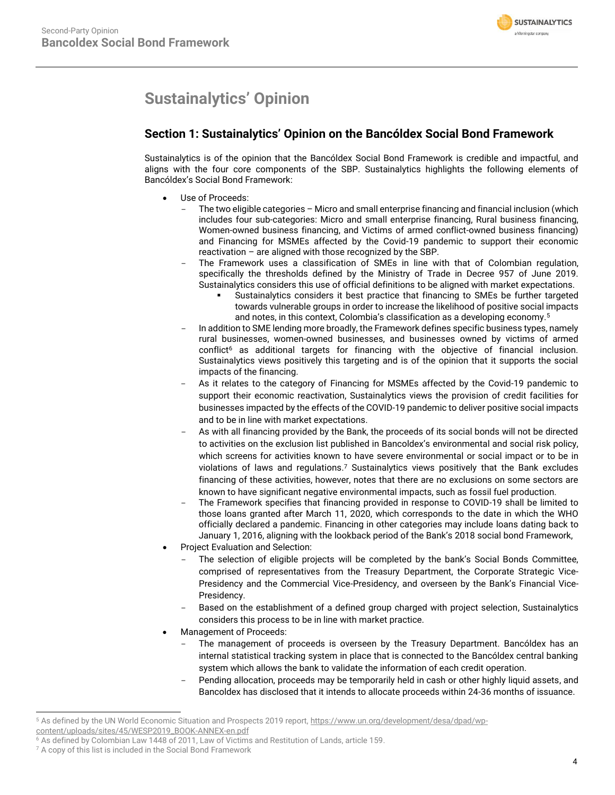# **Sustainalytics' Opinion**

# **Section 1: Sustainalytics' Opinion on the Bancóldex Social Bond Framework**

Sustainalytics is of the opinion that the Bancóldex Social Bond Framework is credible and impactful, and aligns with the four core components of the SBP. Sustainalytics highlights the following elements of Bancóldex's Social Bond Framework:

- Use of Proceeds:
	- The two eligible categories Micro and small enterprise financing and financial inclusion (which includes four sub-categories: Micro and small enterprise financing, Rural business financing, Women-owned business financing, and Victims of armed conflict-owned business financing) and Financing for MSMEs affected by the Covid-19 pandemic to support their economic reactivation – are aligned with those recognized by the SBP.
	- The Framework uses a classification of SMEs in line with that of Colombian regulation, specifically the thresholds defined by the Ministry of Trade in Decree 957 of June 2019. Sustainalytics considers this use of official definitions to be aligned with market expectations.
		- Sustainalytics considers it best practice that financing to SMEs be further targeted towards vulnerable groups in order to increase the likelihood of positive social impacts and notes, in this context, Colombia's classification as a developing economy.<sup>5</sup>
	- In addition to SME lending more broadly, the Framework defines specific business types, namely rural businesses, women-owned businesses, and businesses owned by victims of armed conflict<sup>6</sup> as additional targets for financing with the objective of financial inclusion. Sustainalytics views positively this targeting and is of the opinion that it supports the social impacts of the financing.
	- As it relates to the category of Financing for MSMEs affected by the Covid-19 pandemic to support their economic reactivation, Sustainalytics views the provision of credit facilities for businesses impacted by the effects of the COVID-19 pandemic to deliver positive social impacts and to be in line with market expectations.
	- As with all financing provided by the Bank, the proceeds of its social bonds will not be directed to activities on the exclusion list published in Bancoldex's environmental and social risk policy, which screens for activities known to have severe environmental or social impact or to be in violations of laws and regulations. <sup>7</sup> Sustainalytics views positively that the Bank excludes financing of these activities, however, notes that there are no exclusions on some sectors are known to have significant negative environmental impacts, such as fossil fuel production.
	- The Framework specifies that financing provided in response to COVID-19 shall be limited to those loans granted after March 11, 2020, which corresponds to the date in which the WHO officially declared a pandemic. Financing in other categories may include loans dating back to January 1, 2016, aligning with the lookback period of the Bank's 2018 social bond Framework,
- Project Evaluation and Selection:
	- The selection of eligible projects will be completed by the bank's Social Bonds Committee, comprised of representatives from the Treasury Department, the Corporate Strategic Vice-Presidency and the Commercial Vice-Presidency, and overseen by the Bank's Financial Vice-Presidency.
	- Based on the establishment of a defined group charged with project selection, Sustainalytics considers this process to be in line with market practice.
- Management of Proceeds:
	- The management of proceeds is overseen by the Treasury Department. Bancóldex has an internal statistical tracking system in place that is connected to the Bancóldex central banking system which allows the bank to validate the information of each credit operation.
	- Pending allocation, proceeds may be temporarily held in cash or other highly liquid assets, and Bancoldex has disclosed that it intends to allocate proceeds within 24-36 months of issuance.

<sup>&</sup>lt;sup>5</sup> As defined by the UN World Economic Situation and Prospects 2019 report, https://www.un.org/development/desa/dpad/wpcontent/uploads/sites/45/WESP2019\_BOOK-ANNEX-en.pdf

<sup>6</sup> As defined by Colombian Law 1448 of 2011, Law of Victims and Restitution of Lands, article 159.

<sup>&</sup>lt;sup>7</sup> A copy of this list is included in the Social Bond Framework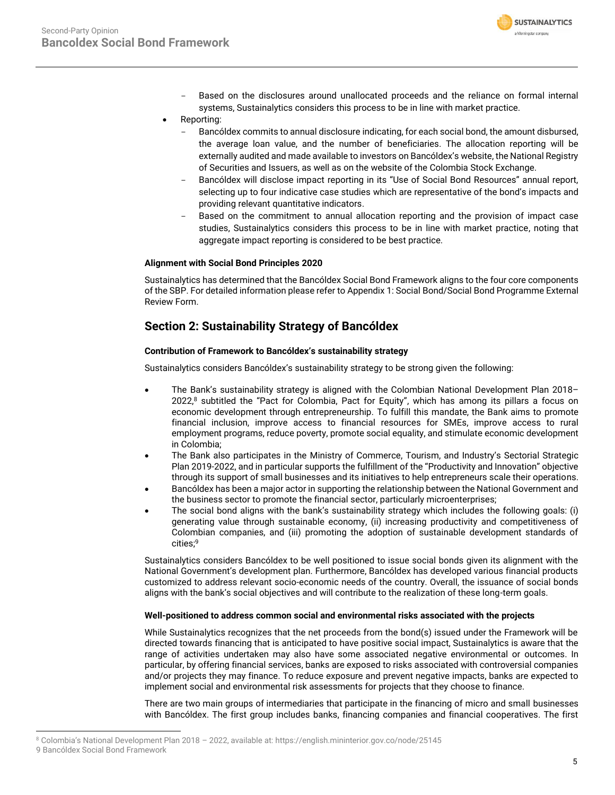

- Based on the disclosures around unallocated proceeds and the reliance on formal internal systems, Sustainalytics considers this process to be in line with market practice.
- Reporting:
	- Bancóldex commits to annual disclosure indicating, for each social bond, the amount disbursed, the average loan value, and the number of beneficiaries. The allocation reporting will be externally audited and made available to investors on Bancóldex's website, the National Registry of Securities and Issuers, as well as on the website of the Colombia Stock Exchange.
	- Bancóldex will disclose impact reporting in its "Use of Social Bond Resources" annual report, selecting up to four indicative case studies which are representative of the bond's impacts and providing relevant quantitative indicators.
	- Based on the commitment to annual allocation reporting and the provision of impact case studies, Sustainalytics considers this process to be in line with market practice, noting that aggregate impact reporting is considered to be best practice.

### **Alignment with Social Bond Principles 2020**

Sustainalytics has determined that the Bancóldex Social Bond Framework aligns to the four core components of the SBP. For detailed information please refer to Appendix 1: Social Bond/Social Bond Programme External Review Form.

## **Section 2: Sustainability Strategy of Bancóldex**

### **Contribution of Framework to Bancóldex's sustainability strategy**

Sustainalytics considers Bancóldex's sustainability strategy to be strong given the following:

- The Bank's sustainability strategy is aligned with the Colombian National Development Plan 2018– 2022, <sup>8</sup> subtitled the "Pact for Colombia, Pact for Equity", which has among its pillars a focus on economic development through entrepreneurship. To fulfill this mandate, the Bank aims to promote financial inclusion, improve access to financial resources for SMEs, improve access to rural employment programs, reduce poverty, promote social equality, and stimulate economic development in Colombia;
- The Bank also participates in the Ministry of Commerce, Tourism, and Industry's Sectorial Strategic Plan 2019-2022, and in particular supports the fulfillment of the "Productivity and Innovation" objective through its support of small businesses and its initiatives to help entrepreneurs scale their operations.
- Bancóldex has been a major actor in supporting the relationship between the National Government and the business sector to promote the financial sector, particularly microenterprises;
- The social bond aligns with the bank's sustainability strategy which includes the following goals: (i) generating value through sustainable economy, (ii) increasing productivity and competitiveness of Colombian companies, and (iii) promoting the adoption of sustainable development standards of cities;<sup>9</sup>

Sustainalytics considers Bancóldex to be well positioned to issue social bonds given its alignment with the National Government's development plan. Furthermore, Bancóldex has developed various financial products customized to address relevant socio-economic needs of the country. Overall, the issuance of social bonds aligns with the bank's social objectives and will contribute to the realization of these long-term goals.

### **Well-positioned to address common social and environmental risks associated with the projects**

While Sustainalytics recognizes that the net proceeds from the bond(s) issued under the Framework will be directed towards financing that is anticipated to have positive social impact, Sustainalytics is aware that the range of activities undertaken may also have some associated negative environmental or outcomes. In particular, by offering financial services, banks are exposed to risks associated with controversial companies and/or projects they may finance. To reduce exposure and prevent negative impacts, banks are expected to implement social and environmental risk assessments for projects that they choose to finance.

There are two main groups of intermediaries that participate in the financing of micro and small businesses with Bancóldex. The first group includes banks, financing companies and financial cooperatives. The first

<sup>8</sup> Colombia's National Development Plan 2018 – 2022, available at: https://english.mininterior.gov.co/node/25145 9 Bancóldex Social Bond Framework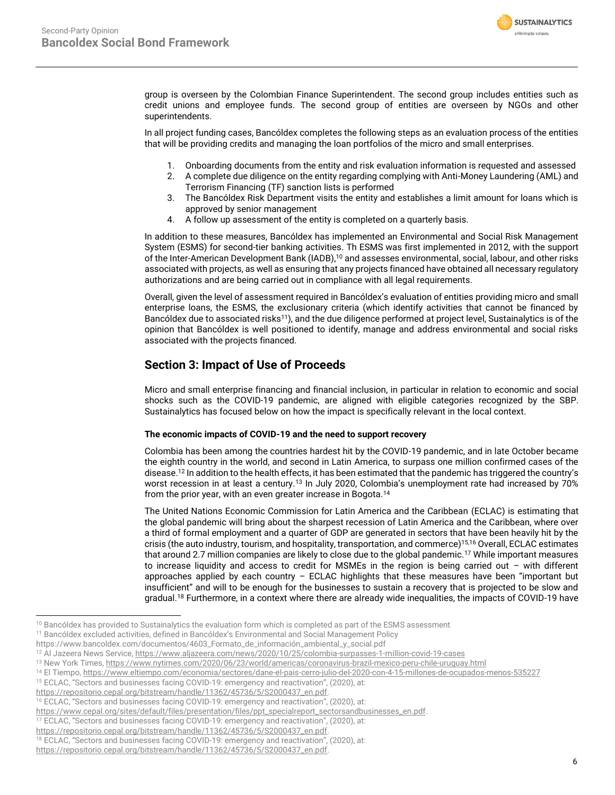

group is overseen by the Colombian Finance Superintendent. The second group includes entities such as credit unions and employee funds. The second group of entities are overseen by NGOs and other superintendents.

In all project funding cases, Bancóldex completes the following steps as an evaluation process of the entities that will be providing credits and managing the loan portfolios of the micro and small enterprises.

- 1. Onboarding documents from the entity and risk evaluation information is requested and assessed
- 2. A complete due diligence on the entity regarding complying with Anti-Money Laundering (AML) and Terrorism Financing (TF) sanction lists is performed
- 3. The Bancóldex Risk Department visits the entity and establishes a limit amount for loans which is approved by senior management
- 4. A follow up assessment of the entity is completed on a quarterly basis.

In addition to these measures, Bancóldex has implemented an Environmental and Social Risk Management System (ESMS) for second-tier banking activities. Th ESMS was first implemented in 2012, with the support of the Inter-American Development Bank (IADB), <sup>10</sup> and assesses environmental, social, labour, and other risks associated with projects, as well as ensuring that any projects financed have obtained all necessary regulatory authorizations and are being carried out in compliance with all legal requirements.

Overall, given the level of assessment required in Bancóldex's evaluation of entities providing micro and small enterprise loans, the ESMS, the exclusionary criteria (which identify activities that cannot be financed by Bancóldex due to associated risks<sup>11</sup>), and the due diligence performed at project level, Sustainalytics is of the opinion that Bancóldex is well positioned to identify, manage and address environmental and social risks associated with the projects financed.

## **Section 3: Impact of Use of Proceeds**

Micro and small enterprise financing and financial inclusion, in particular in relation to economic and social shocks such as the COVID-19 pandemic, are aligned with eligible categories recognized by the SBP. Sustainalytics has focused below on how the impact is specifically relevant in the local context.

### **The economic impacts of COVID-19 and the need to support recovery**

Colombia has been among the countries hardest hit by the COVID-19 pandemic, and in late October became the eighth country in the world, and second in Latin America, to surpass one million confirmed cases of the disease.<sup>12</sup> In addition to the health effects, it has been estimated that the pandemic has triggered the country's worst recession in at least a century.<sup>13</sup> In July 2020, Colombia's unemployment rate had increased by 70% from the prior year, with an even greater increase in Bogota.<sup>14</sup>

The United Nations Economic Commission for Latin America and the Caribbean (ECLAC) is estimating that the global pandemic will bring about the sharpest recession of Latin America and the Caribbean, where over a third of formal employment and a quarter of GDP are generated in sectors that have been heavily hit by the crisis (the auto industry, tourism, and hospitality, transportation, and commerce)15,16 Overall, ECLAC estimates that around 2.7 million companies are likely to close due to the global pandemic.<sup>17</sup> While important measures to increase liquidity and access to credit for MSMEs in the region is being carried out – with different approaches applied by each country  $-$  ECLAC highlights that these measures have been "important but insufficient" and will to be enough for the businesses to sustain a recovery that is projected to be slow and gradual.<sup>18</sup> Furthermore, in a context where there are already wide inequalities, the impacts of COVID-19 have

<sup>15</sup> ECLAC, "Sectors and businesses facing COVID-19: emergency and reactivation", (2020), at:

<sup>16</sup> ECLAC, "Sectors and businesses facing COVID-19: emergency and reactivation", (2020), at:

<sup>&</sup>lt;sup>10</sup> Bancóldex has provided to Sustainalytics the evaluation form which is completed as part of the ESMS assessment

<sup>&</sup>lt;sup>11</sup> Bancóldex excluded activities, defined in Bancóldex's Environmental and Social Management Policy

https://www.bancoldex.com/documentos/4603\_Formato\_de\_información\_ambiental\_y\_social.pdf

<sup>&</sup>lt;sup>12</sup> Al Jazeera News Service, https://www.aljazeera.com/news/2020/10/25/colombia-surpasses-1-million-covid-19-cases

<sup>13</sup> New York Times, https://www.nytimes.com/2020/06/23/world/americas/coronavirus-brazil-mexico-peru-chile-uruguay.html

<sup>&</sup>lt;sup>14</sup> El Tiempo, https://www.eltiempo.com/economia/sectores/dane-el-pais-cerro-julio-del-2020-con-4-15-millones-de-ocupados-menos-535227

[https://repositorio.cepal.org/bitstream/handle/11362/45736/5/S2000437\\_en.pdf.](https://repositorio.cepal.org/bitstream/handle/11362/45736/5/S2000437_en.pdf)

[https://www.cepal.org/sites/default/files/presentation/files/ppt\\_specialreport\\_sectorsandbusinesses\\_en.pdf.](https://www.cepal.org/sites/default/files/presentation/files/ppt_specialreport_sectorsandbusinesses_en.pdf)

<sup>&</sup>lt;sup>17</sup> ECLAC, "Sectors and businesses facing COVID-19: emergency and reactivation", (2020), at:

[https://repositorio.cepal.org/bitstream/handle/11362/45736/5/S2000437\\_en.pdf.](https://repositorio.cepal.org/bitstream/handle/11362/45736/5/S2000437_en.pdf)

<sup>18</sup> ECLAC, "Sectors and businesses facing COVID-19: emergency and reactivation", (2020), at:

[https://repositorio.cepal.org/bitstream/handle/11362/45736/5/S2000437\\_en.pdf.](https://repositorio.cepal.org/bitstream/handle/11362/45736/5/S2000437_en.pdf)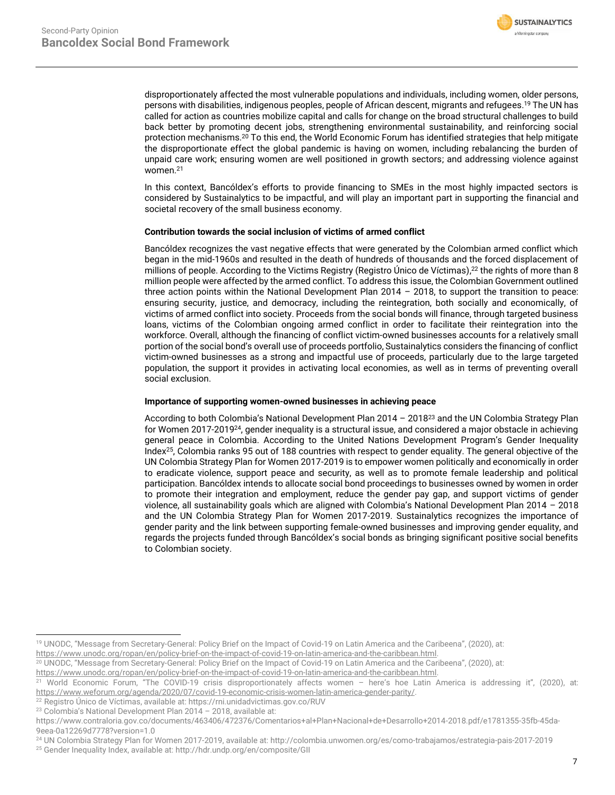

disproportionately affected the most vulnerable populations and individuals, including women, older persons, persons with disabilities, indigenous peoples, people of African descent, migrants and refugees.<sup>19</sup> The UN has called for action as countries mobilize capital and calls for change on the broad structural challenges to build back better by promoting decent jobs, strengthening environmental sustainability, and reinforcing social protection mechanisms.<sup>20</sup> To this end, the World Economic Forum has identified strategies that help mitigate the disproportionate effect the global pandemic is having on women, including rebalancing the burden of unpaid care work; ensuring women are well positioned in growth sectors; and addressing violence against women.<sup>21</sup>

In this context, Bancóldex's efforts to provide financing to SMEs in the most highly impacted sectors is considered by Sustainalytics to be impactful, and will play an important part in supporting the financial and societal recovery of the small business economy.

### **Contribution towards the social inclusion of victims of armed conflict**

Bancóldex recognizes the vast negative effects that were generated by the Colombian armed conflict which began in the mid-1960s and resulted in the death of hundreds of thousands and the forced displacement of millions of people. According to the Victims Registry (Registro Único de Víctimas), <sup>22</sup> the rights of more than 8 million people were affected by the armed conflict. To address this issue, the Colombian Government outlined three action points within the National Development Plan 2014 – 2018, to support the transition to peace: ensuring security, justice, and democracy, including the reintegration, both socially and economically, of victims of armed conflict into society. Proceeds from the social bonds will finance, through targeted business loans, victims of the Colombian ongoing armed conflict in order to facilitate their reintegration into the workforce. Overall, although the financing of conflict victim-owned businesses accounts for a relatively small portion of the social bond's overall use of proceeds portfolio, Sustainalytics considers the financing of conflict victim-owned businesses as a strong and impactful use of proceeds, particularly due to the large targeted population, the support it provides in activating local economies, as well as in terms of preventing overall social exclusion.

### **Importance of supporting women-owned businesses in achieving peace**

According to both Colombia's National Development Plan 2014 - 2018<sup>23</sup> and the UN Colombia Strategy Plan for Women 2017-2019<sup>24</sup>, gender inequality is a structural issue, and considered a major obstacle in achieving general peace in Colombia. According to the United Nations Development Program's Gender Inequality Index<sup>25</sup>, Colombia ranks 95 out of 188 countries with respect to gender equality. The general objective of the UN Colombia Strategy Plan for Women 2017-2019 is to empower women politically and economically in order to eradicate violence, support peace and security, as well as to promote female leadership and political participation. Bancóldex intends to allocate social bond proceedings to businesses owned by women in order to promote their integration and employment, reduce the gender pay gap, and support victims of gender violence, all sustainability goals which are aligned with Colombia's National Development Plan 2014 – 2018 and the UN Colombia Strategy Plan for Women 2017-2019. Sustainalytics recognizes the importance of gender parity and the link between supporting female-owned businesses and improving gender equality, and regards the projects funded through Bancóldex's social bonds as bringing significant positive social benefits to Colombian society.

<sup>19</sup> UNODC, "Message from Secretary-General: Policy Brief on the Impact of Covid-19 on Latin America and the Caribeena", (2020), at: [https://www.unodc.org/ropan/en/policy-brief-on-the-impact-of-covid-19-on-latin-america-and-the-caribbean.html.](https://www.unodc.org/ropan/en/policy-brief-on-the-impact-of-covid-19-on-latin-america-and-the-caribbean.html) 

<sup>20</sup> UNODC, "Message from Secretary-General: Policy Brief on the Impact of Covid-19 on Latin America and the Caribeena", (2020), at:

[https://www.unodc.org/ropan/en/policy-brief-on-the-impact-of-covid-19-on-latin-america-and-the-caribbean.html.](https://www.unodc.org/ropan/en/policy-brief-on-the-impact-of-covid-19-on-latin-america-and-the-caribbean.html)

<sup>&</sup>lt;sup>21</sup> World Economic Forum, "The COVID-19 crisis disproportionately affects women - here's hoe Latin America is addressing it", (2020), at: [https://www.weforum.org/agenda/2020/07/covid-19-economic-crisis-women-latin-america-gender-parity/.](https://www.weforum.org/agenda/2020/07/covid-19-economic-crisis-women-latin-america-gender-parity/)

<sup>22</sup> Registro Único de Víctimas, available at: https://rni.unidadvictimas.gov.co/RUV

<sup>23</sup> Colombia's National Development Plan 2014 – 2018, available at:

https://www.contraloria.gov.co/documents/463406/472376/Comentarios+al+Plan+Nacional+de+Desarrollo+2014-2018.pdf/e1781355-35fb-45da-9eea-0a12269d7778?version=1.0

<sup>24</sup> UN Colombia Strategy Plan for Women 2017-2019, available at: http://colombia.unwomen.org/es/como-trabajamos/estrategia-pais-2017-2019

<sup>25</sup> Gender Inequality Index, available at: http://hdr.undp.org/en/composite/GII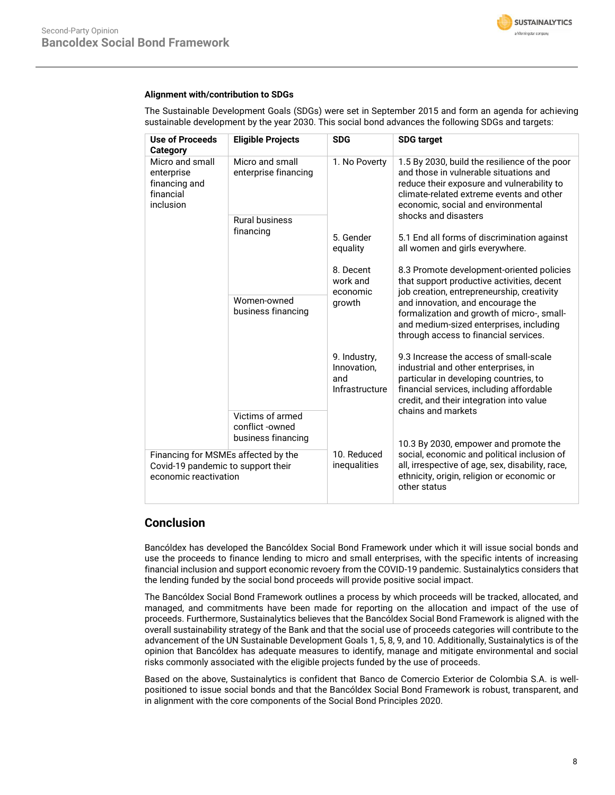

### **Alignment with/contribution to SDGs**

The Sustainable Development Goals (SDGs) were set in September 2015 and form an agenda for achieving sustainable development by the year 2030. This social bond advances the following SDGs and targets:

| <b>Use of Proceeds</b><br>Category                                                                 | <b>Eligible Projects</b>                                  | <b>SDG</b>                                           | <b>SDG</b> target                                                                                                                                                                                                       |  |  |
|----------------------------------------------------------------------------------------------------|-----------------------------------------------------------|------------------------------------------------------|-------------------------------------------------------------------------------------------------------------------------------------------------------------------------------------------------------------------------|--|--|
| Micro and small<br>enterprise<br>financing and<br>financial<br>inclusion                           | Micro and small<br>enterprise financing                   | 1. No Poverty                                        | 1.5 By 2030, build the resilience of the poor<br>and those in vulnerable situations and<br>reduce their exposure and vulnerability to<br>climate-related extreme events and other<br>economic, social and environmental |  |  |
|                                                                                                    | <b>Rural business</b><br>financing                        |                                                      | shocks and disasters                                                                                                                                                                                                    |  |  |
|                                                                                                    |                                                           | 5. Gender<br>equality                                | 5.1 End all forms of discrimination against<br>all women and girls everywhere.                                                                                                                                          |  |  |
|                                                                                                    |                                                           | 8. Decent<br>work and<br>economic                    | 8.3 Promote development-oriented policies<br>that support productive activities, decent<br>job creation, entrepreneurship, creativity                                                                                   |  |  |
|                                                                                                    | Women-owned<br>business financing                         | growth                                               | and innovation, and encourage the<br>formalization and growth of micro-, small-<br>and medium-sized enterprises, including<br>through access to financial services.                                                     |  |  |
|                                                                                                    |                                                           | 9. Industry,<br>Innovation,<br>and<br>Infrastructure | 9.3 Increase the access of small-scale<br>industrial and other enterprises, in<br>particular in developing countries, to<br>financial services, including affordable<br>credit, and their integration into value        |  |  |
|                                                                                                    | Victims of armed<br>conflict -owned<br>business financing |                                                      | chains and markets<br>10.3 By 2030, empower and promote the                                                                                                                                                             |  |  |
| Financing for MSMEs affected by the<br>Covid-19 pandemic to support their<br>economic reactivation |                                                           | 10. Reduced<br>inequalities                          | social, economic and political inclusion of<br>all, irrespective of age, sex, disability, race,<br>ethnicity, origin, religion or economic or<br>other status                                                           |  |  |

## **Conclusion**

Bancóldex has developed the Bancóldex Social Bond Framework under which it will issue social bonds and use the proceeds to finance lending to micro and small enterprises, with the specific intents of increasing financial inclusion and support economic revoery from the COVID-19 pandemic. Sustainalytics considers that the lending funded by the social bond proceeds will provide positive social impact.

The Bancóldex Social Bond Framework outlines a process by which proceeds will be tracked, allocated, and managed, and commitments have been made for reporting on the allocation and impact of the use of proceeds. Furthermore, Sustainalytics believes that the Bancóldex Social Bond Framework is aligned with the overall sustainability strategy of the Bank and that the social use of proceeds categories will contribute to the advancement of the UN Sustainable Development Goals 1, 5, 8, 9, and 10. Additionally, Sustainalytics is of the opinion that Bancóldex has adequate measures to identify, manage and mitigate environmental and social risks commonly associated with the eligible projects funded by the use of proceeds.

Based on the above, Sustainalytics is confident that Banco de Comercio Exterior de Colombia S.A. is wellpositioned to issue social bonds and that the Bancóldex Social Bond Framework is robust, transparent, and in alignment with the core components of the Social Bond Principles 2020.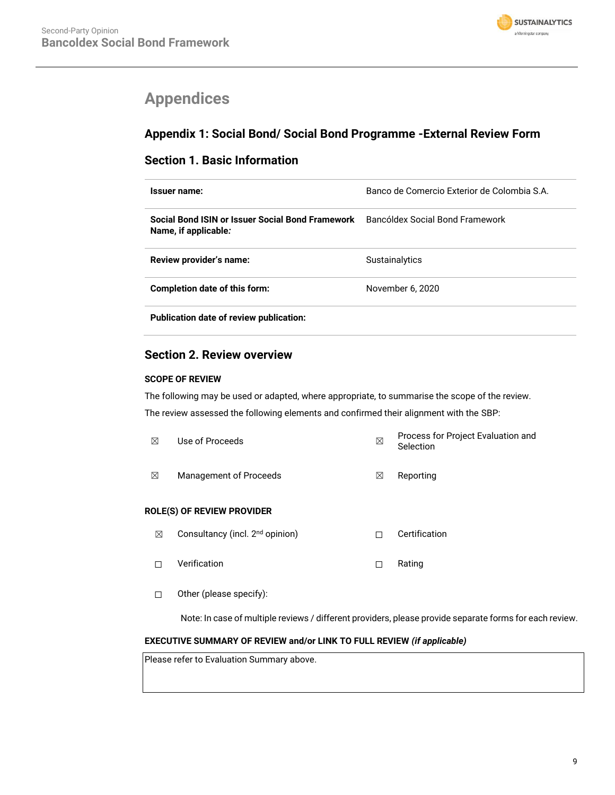

# <span id="page-8-0"></span>**Appendices**

# **Appendix 1: Social Bond/ Social Bond Programme -External Review Form**

## **Section 1. Basic Information**

| Issuer name:                                                             | Banco de Comercio Exterior de Colombia S.A. |
|--------------------------------------------------------------------------|---------------------------------------------|
| Social Bond ISIN or Issuer Social Bond Framework<br>Name, if applicable: | Bancóldex Social Bond Framework             |
| Review provider's name:                                                  | Sustainalytics                              |
| Completion date of this form:                                            | November 6, 2020                            |
| Publication date of review publication:                                  |                                             |

## **Section 2. Review overview**

### **SCOPE OF REVIEW**

The following may be used or adapted, where appropriate, to summarise the scope of the review. The review assessed the following elements and confirmed their alignment with the SBP:

| ⊠                                 | Use of Proceeds                             | ⊠ | Process for Project Evaluation and<br>Selection |  |  |  |
|-----------------------------------|---------------------------------------------|---|-------------------------------------------------|--|--|--|
| ⊠                                 | Management of Proceeds                      | ⊠ | Reporting                                       |  |  |  |
| <b>ROLE(S) OF REVIEW PROVIDER</b> |                                             |   |                                                 |  |  |  |
| ⊠                                 | Consultancy (incl. 2 <sup>nd</sup> opinion) | П | Certification                                   |  |  |  |
| П                                 | Verification                                | П | Rating                                          |  |  |  |
|                                   |                                             |   |                                                 |  |  |  |

☐ Other (please specify):

Note: In case of multiple reviews / different providers, please provide separate forms for each review.

### **EXECUTIVE SUMMARY OF REVIEW and/or LINK TO FULL REVIEW** *(if applicable)*

Please refer to Evaluation Summary above.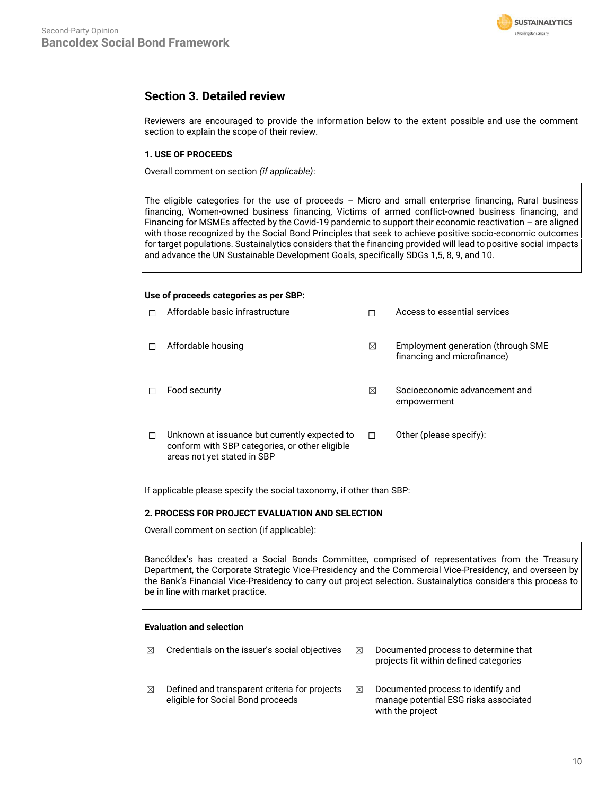

## **Section 3. Detailed review**

Reviewers are encouraged to provide the information below to the extent possible and use the comment section to explain the scope of their review.

### **1. USE OF PROCEEDS**

Overall comment on section *(if applicable)*:

The eligible categories for the use of proceeds – Micro and small enterprise financing, Rural business financing, Women-owned business financing, Victims of armed conflict-owned business financing, and Financing for MSMEs affected by the Covid-19 pandemic to support their economic reactivation – are aligned with those recognized by the Social Bond Principles that seek to achieve positive socio-economic outcomes for target populations. Sustainalytics considers that the financing provided will lead to positive social impacts and advance the UN Sustainable Development Goals, specifically SDGs 1,5, 8, 9, and 10.

#### **Use of proceeds categories as per SBP:**

| Affordable basic infrastructure                                                                                                |   | Access to essential services                                      |
|--------------------------------------------------------------------------------------------------------------------------------|---|-------------------------------------------------------------------|
| Affordable housing                                                                                                             | ⊠ | Employment generation (through SME<br>financing and microfinance) |
| Food security                                                                                                                  | ⊠ | Socioeconomic advancement and<br>empowerment                      |
| Unknown at issuance but currently expected to<br>conform with SBP categories, or other eligible<br>areas not yet stated in SBP | п | Other (please specify):                                           |

If applicable please specify the social taxonomy, if other than SBP:

### **2. PROCESS FOR PROJECT EVALUATION AND SELECTION**

Overall comment on section (if applicable):

Bancóldex's has created a Social Bonds Committee, comprised of representatives from the Treasury Department, the Corporate Strategic Vice-Presidency and the Commercial Vice-Presidency, and overseen by the Bank's Financial Vice-Presidency to carry out project selection. Sustainalytics considers this process to be in line with market practice.

### **Evaluation and selection**

| ⊠ | Credentials on the issuer's social objectives                                      | ⊠ | Documented process to determine that<br>projects fit within defined categories                  |
|---|------------------------------------------------------------------------------------|---|-------------------------------------------------------------------------------------------------|
| ⊠ | Defined and transparent criteria for projects<br>eligible for Social Bond proceeds | ⊠ | Documented process to identify and<br>manage potential ESG risks associated<br>with the project |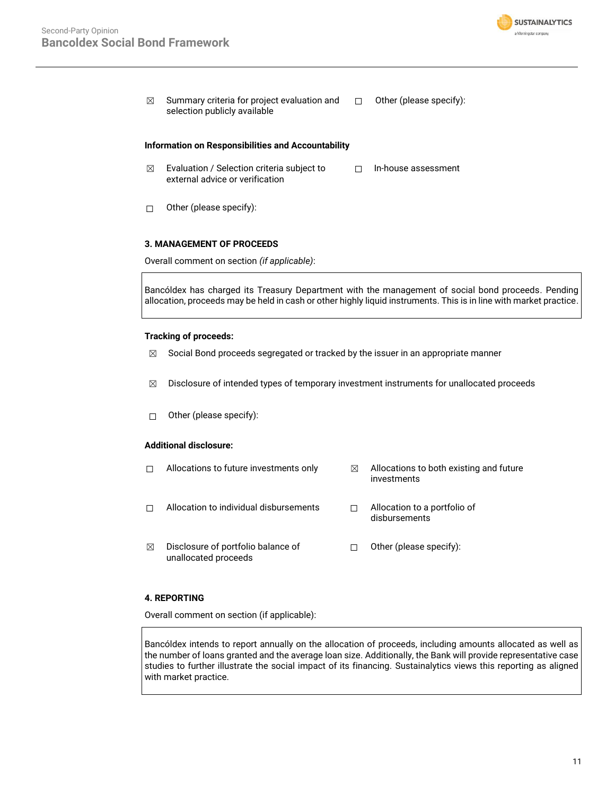

 $\boxtimes$  Summary criteria for project evaluation and selection publicly available ☐ Other (please specify):

### **Information on Responsibilities and Accountability**

- $\boxtimes$  Evaluation / Selection criteria subject to external advice or verification ☐ In-house assessment
- ☐ Other (please specify):

### **3. MANAGEMENT OF PROCEEDS**

Overall comment on section *(if applicable)*:

Bancóldex has charged its Treasury Department with the management of social bond proceeds. Pending allocation, proceeds may be held in cash or other highly liquid instruments. This is in line with market practice.

### **Tracking of proceeds:**

- $\boxtimes$  Social Bond proceeds segregated or tracked by the issuer in an appropriate manner
- $\boxtimes$  Disclosure of intended types of temporary investment instruments for unallocated proceeds
- ☐ Other (please specify):

### **Additional disclosure:**

 $\Box$  Allocations to future investments only  $\boxtimes$  Allocations to both existing and future investments ☐ Allocation to individual disbursements ☐ Allocation to a portfolio of disbursements ☒ Disclosure of portfolio balance of unallocated proceeds ☐ Other (please specify):

### **4. REPORTING**

Overall comment on section (if applicable):

Bancóldex intends to report annually on the allocation of proceeds, including amounts allocated as well as the number of loans granted and the average loan size. Additionally, the Bank will provide representative case studies to further illustrate the social impact of its financing. Sustainalytics views this reporting as aligned with market practice.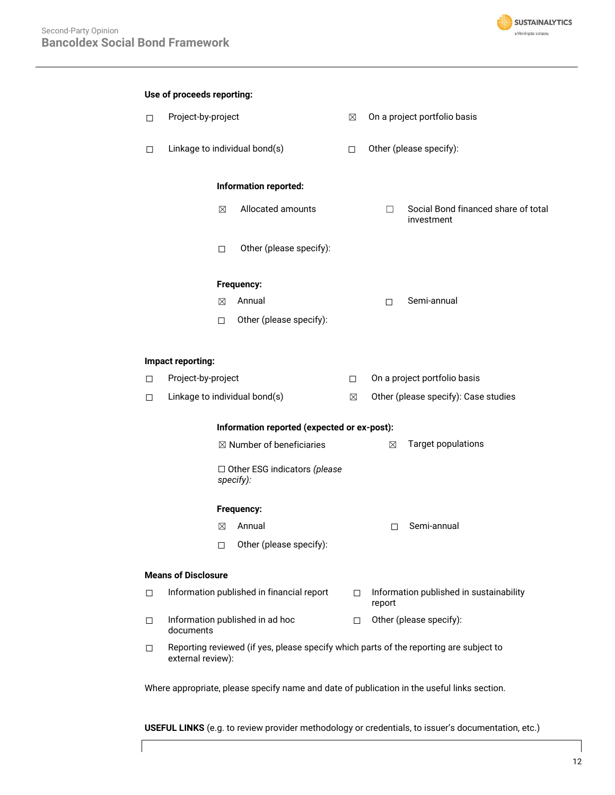

| Use of proceeds reporting: |                                                                                                             |             |                                                  |        |                              |                                                   |  |
|----------------------------|-------------------------------------------------------------------------------------------------------------|-------------|--------------------------------------------------|--------|------------------------------|---------------------------------------------------|--|
| □                          | Project-by-project                                                                                          |             | $\boxtimes$                                      |        | On a project portfolio basis |                                                   |  |
| □                          | Linkage to individual bond(s)                                                                               |             | $\Box$                                           |        | Other (please specify):      |                                                   |  |
|                            |                                                                                                             |             | Information reported:                            |        |                              |                                                   |  |
|                            |                                                                                                             | $\boxtimes$ | Allocated amounts                                |        | П                            | Social Bond financed share of total<br>investment |  |
|                            |                                                                                                             | $\Box$      | Other (please specify):                          |        |                              |                                                   |  |
|                            |                                                                                                             |             | Frequency:                                       |        |                              |                                                   |  |
|                            |                                                                                                             | $\boxtimes$ | Annual                                           |        | П                            | Semi-annual                                       |  |
|                            |                                                                                                             | $\Box$      | Other (please specify):                          |        |                              |                                                   |  |
|                            | Impact reporting:                                                                                           |             |                                                  |        |                              |                                                   |  |
| □                          | Project-by-project                                                                                          |             |                                                  | $\Box$ | On a project portfolio basis |                                                   |  |
| п                          |                                                                                                             |             | Linkage to individual bond(s)                    | ⊠      |                              | Other (please specify): Case studies              |  |
|                            | Information reported (expected or ex-post):                                                                 |             |                                                  |        |                              |                                                   |  |
|                            |                                                                                                             |             | $\boxtimes$ Number of beneficiaries              |        | $\boxtimes$                  | <b>Target populations</b>                         |  |
|                            |                                                                                                             |             | $\Box$ Other ESG indicators (please<br>specify): |        |                              |                                                   |  |
|                            |                                                                                                             |             | Frequency:                                       |        |                              |                                                   |  |
|                            |                                                                                                             | ⊠           | Annual                                           |        | п                            | Semi-annual                                       |  |
|                            |                                                                                                             | □           | Other (please specify):                          |        |                              |                                                   |  |
| <b>Means of Disclosure</b> |                                                                                                             |             |                                                  |        |                              |                                                   |  |
| □                          |                                                                                                             |             | Information published in financial report        | П      | report                       | Information published in sustainability           |  |
| □                          | documents                                                                                                   |             | Information published in ad hoc                  | П      |                              | Other (please specify):                           |  |
| □                          | Reporting reviewed (if yes, please specify which parts of the reporting are subject to<br>external review): |             |                                                  |        |                              |                                                   |  |

Where appropriate, please specify name and date of publication in the useful links section.

**USEFUL LINKS** (e.g. to review provider methodology or credentials, to issuer's documentation, etc.)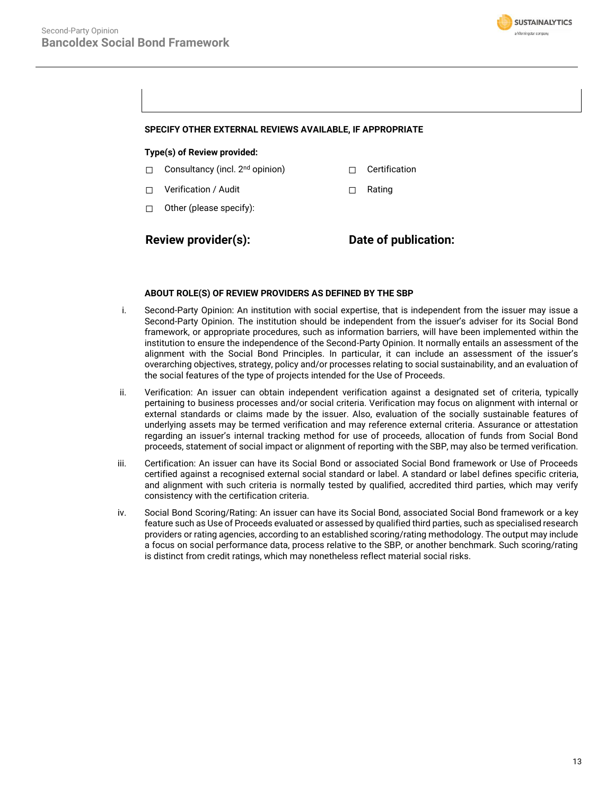

### **SPECIFY OTHER EXTERNAL REVIEWS AVAILABLE, IF APPROPRIATE**

### **Type(s) of Review provided:**

- ☐ Consultancy (incl. 2nd opinion) ☐ Certification
- ☐ Verification / Audit ☐ Rating
- ☐ Other (please specify):

**Review provider(s): Date of publication:**

#### **ABOUT ROLE(S) OF REVIEW PROVIDERS AS DEFINED BY THE SBP**

- i. Second-Party Opinion: An institution with social expertise, that is independent from the issuer may issue a Second-Party Opinion. The institution should be independent from the issuer's adviser for its Social Bond framework, or appropriate procedures, such as information barriers, will have been implemented within the institution to ensure the independence of the Second-Party Opinion. It normally entails an assessment of the alignment with the Social Bond Principles. In particular, it can include an assessment of the issuer's overarching objectives, strategy, policy and/or processes relating to social sustainability, and an evaluation of the social features of the type of projects intended for the Use of Proceeds.
- ii. Verification: An issuer can obtain independent verification against a designated set of criteria, typically pertaining to business processes and/or social criteria. Verification may focus on alignment with internal or external standards or claims made by the issuer. Also, evaluation of the socially sustainable features of underlying assets may be termed verification and may reference external criteria. Assurance or attestation regarding an issuer's internal tracking method for use of proceeds, allocation of funds from Social Bond proceeds, statement of social impact or alignment of reporting with the SBP, may also be termed verification.
- iii. Certification: An issuer can have its Social Bond or associated Social Bond framework or Use of Proceeds certified against a recognised external social standard or label. A standard or label defines specific criteria, and alignment with such criteria is normally tested by qualified, accredited third parties, which may verify consistency with the certification criteria.
- iv. Social Bond Scoring/Rating: An issuer can have its Social Bond, associated Social Bond framework or a key feature such as Use of Proceeds evaluated or assessed by qualified third parties, such as specialised research providers or rating agencies, according to an established scoring/rating methodology. The output may include a focus on social performance data, process relative to the SBP, or another benchmark. Such scoring/rating is distinct from credit ratings, which may nonetheless reflect material social risks.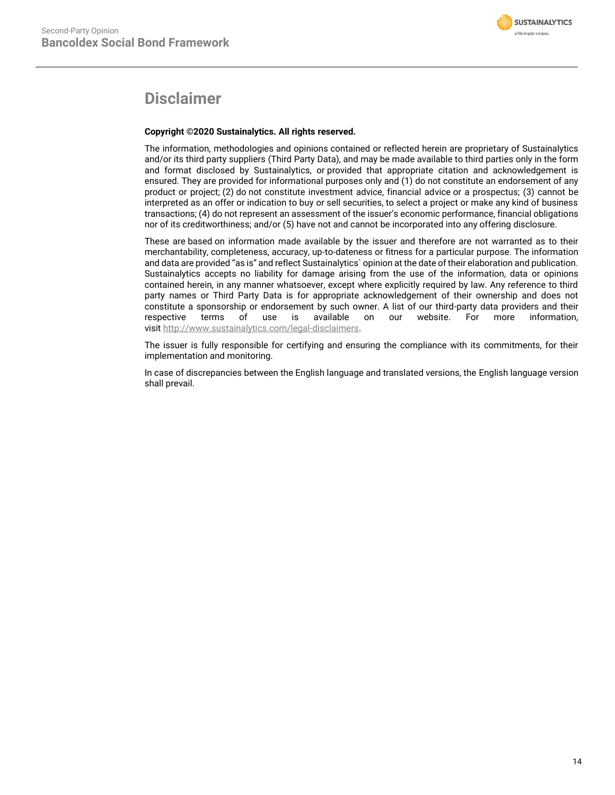# **Disclaimer**

### **Copyright ©2020 Sustainalytics. All rights reserved.**

The information, methodologies and opinions contained or reflected herein are proprietary of Sustainalytics and/or its third party suppliers (Third Party Data), and may be made available to third parties only in the form and format disclosed by Sustainalytics, or provided that appropriate citation and acknowledgement is ensured. They are provided for informational purposes only and (1) do not constitute an endorsement of any product or project; (2) do not constitute investment advice, financial advice or a prospectus; (3) cannot be interpreted as an offer or indication to buy or sell securities, to select a project or make any kind of business transactions; (4) do not represent an assessment of the issuer's economic performance, financial obligations nor of its creditworthiness; and/or (5) have not and cannot be incorporated into any offering disclosure.

These are based on information made available by the issuer and therefore are not warranted as to their merchantability, completeness, accuracy, up-to-dateness or fitness for a particular purpose. The information and data are provided "as is" and reflect Sustainalytics` opinion at the date of their elaboration and publication. Sustainalytics accepts no liability for damage arising from the use of the information, data or opinions contained herein, in any manner whatsoever, except where explicitly required by law. Any reference to third party names or Third Party Data is for appropriate acknowledgement of their ownership and does not constitute a sponsorship or endorsement by such owner. A list of our third-party data providers and their respective terms of use is available on our website. For more information, visit [http://www.sustainalytics.com/legal-disclaimers.](http://www.sustainalytics.com/legal-disclaimers)

The issuer is fully responsible for certifying and ensuring the compliance with its commitments, for their implementation and monitoring.

In case of discrepancies between the English language and translated versions, the English language version shall prevail.